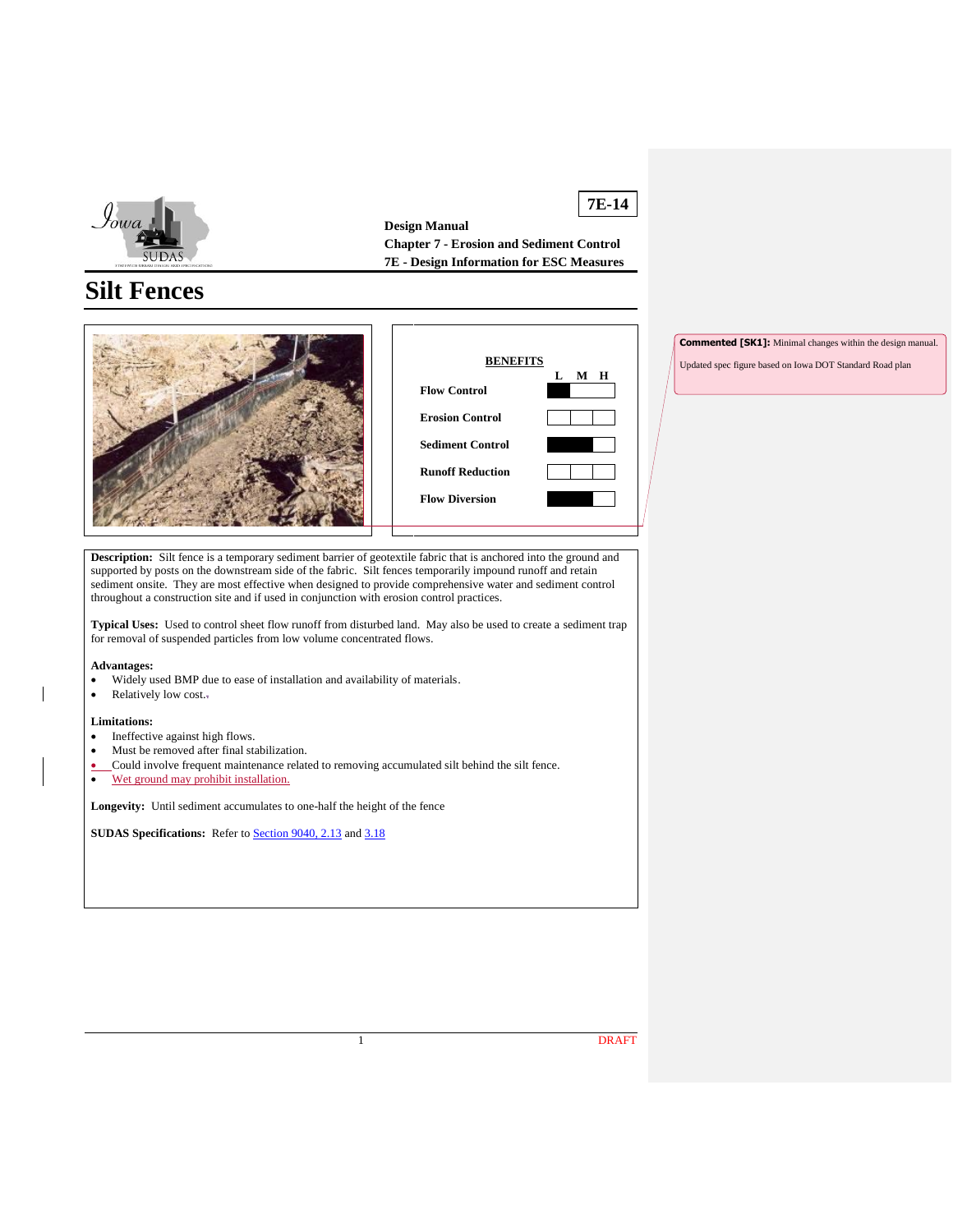

**7E-14 Design Manual Chapter 7 - Erosion and Sediment Control 7E - Design Information for ESC Measures**

# **Silt Fences**



**Commented [SK1]:** Minimal changes within the design manual.

Updated spec figure based on Iowa DOT Standard Road plan

**Description:** Silt fence is a temporary sediment barrier of geotextile fabric that is anchored into the ground and supported by posts on the downstream side of the fabric. Silt fences temporarily impound runoff and retain sediment onsite. They are most effective when designed to provide comprehensive water and sediment control throughout a construction site and if used in conjunction with erosion control practices.

**Typical Uses:** Used to control sheet flow runoff from disturbed land. May also be used to create a sediment trap for removal of suspended particles from low volume concentrated flows.

#### **Advantages:**

- Widely used BMP due to ease of installation and availability of materials.
- Relatively low cost.

#### **Limitations:**

- Ineffective against high flows.
- Must be removed after final stabilization.
- Could involve frequent maintenance related to removing accumulated silt behind the silt fence.
- Wet ground may prohibit installation.

**Longevity:** Until sediment accumulates to one-half the height of the fence

**SUDAS Specifications:** Refer to **Section 9040, 2.13** and [3.18](https://intrans.iastate.edu/app/uploads/sites/15/2020/02/9040.pdf#page=21)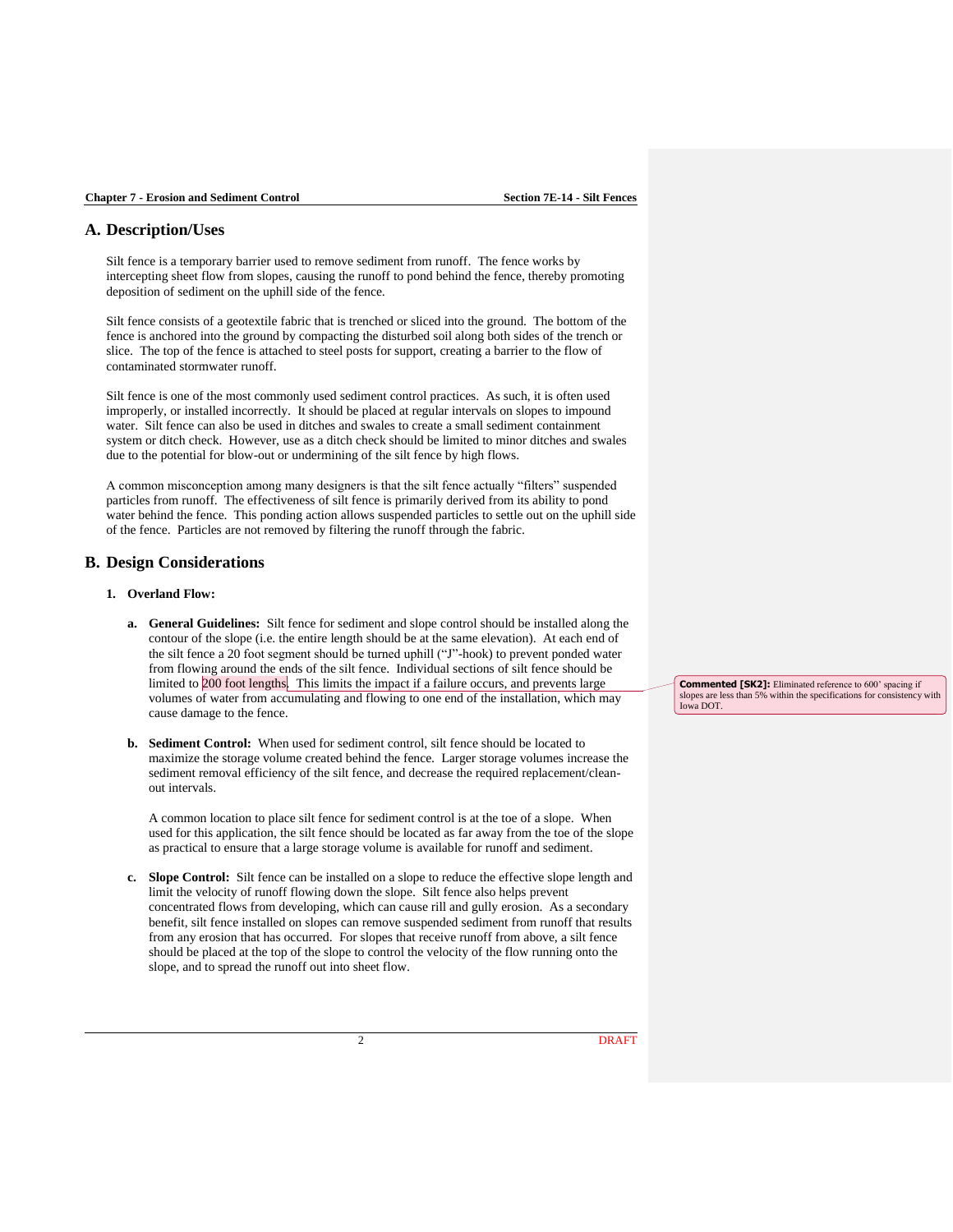## **A. Description/Uses**

Silt fence is a temporary barrier used to remove sediment from runoff. The fence works by intercepting sheet flow from slopes, causing the runoff to pond behind the fence, thereby promoting deposition of sediment on the uphill side of the fence.

Silt fence consists of a geotextile fabric that is trenched or sliced into the ground. The bottom of the fence is anchored into the ground by compacting the disturbed soil along both sides of the trench or slice. The top of the fence is attached to steel posts for support, creating a barrier to the flow of contaminated stormwater runoff.

Silt fence is one of the most commonly used sediment control practices. As such, it is often used improperly, or installed incorrectly. It should be placed at regular intervals on slopes to impound water. Silt fence can also be used in ditches and swales to create a small sediment containment system or ditch check. However, use as a ditch check should be limited to minor ditches and swales due to the potential for blow-out or undermining of the silt fence by high flows.

A common misconception among many designers is that the silt fence actually "filters" suspended particles from runoff. The effectiveness of silt fence is primarily derived from its ability to pond water behind the fence. This ponding action allows suspended particles to settle out on the uphill side of the fence. Particles are not removed by filtering the runoff through the fabric.

## **B. Design Considerations**

#### **1. Overland Flow:**

- **a. General Guidelines:** Silt fence for sediment and slope control should be installed along the contour of the slope (i.e. the entire length should be at the same elevation). At each end of the silt fence a 20 foot segment should be turned uphill ("J"-hook) to prevent ponded water from flowing around the ends of the silt fence. Individual sections of silt fence should be limited to 200 foot lengths. This limits the impact if a failure occurs, and prevents large volumes of water from accumulating and flowing to one end of the installation, which may cause damage to the fence.
- **b. Sediment Control:** When used for sediment control, silt fence should be located to maximize the storage volume created behind the fence. Larger storage volumes increase the sediment removal efficiency of the silt fence, and decrease the required replacement/cleanout intervals.

A common location to place silt fence for sediment control is at the toe of a slope. When used for this application, the silt fence should be located as far away from the toe of the slope as practical to ensure that a large storage volume is available for runoff and sediment.

**c. Slope Control:** Silt fence can be installed on a slope to reduce the effective slope length and limit the velocity of runoff flowing down the slope. Silt fence also helps prevent concentrated flows from developing, which can cause rill and gully erosion. As a secondary benefit, silt fence installed on slopes can remove suspended sediment from runoff that results from any erosion that has occurred. For slopes that receive runoff from above, a silt fence should be placed at the top of the slope to control the velocity of the flow running onto the slope, and to spread the runoff out into sheet flow.

**Commented [SK2]:** Eliminated reference to 600' spacing if slopes are less than 5% within the specifications for consistency with Iowa DOT.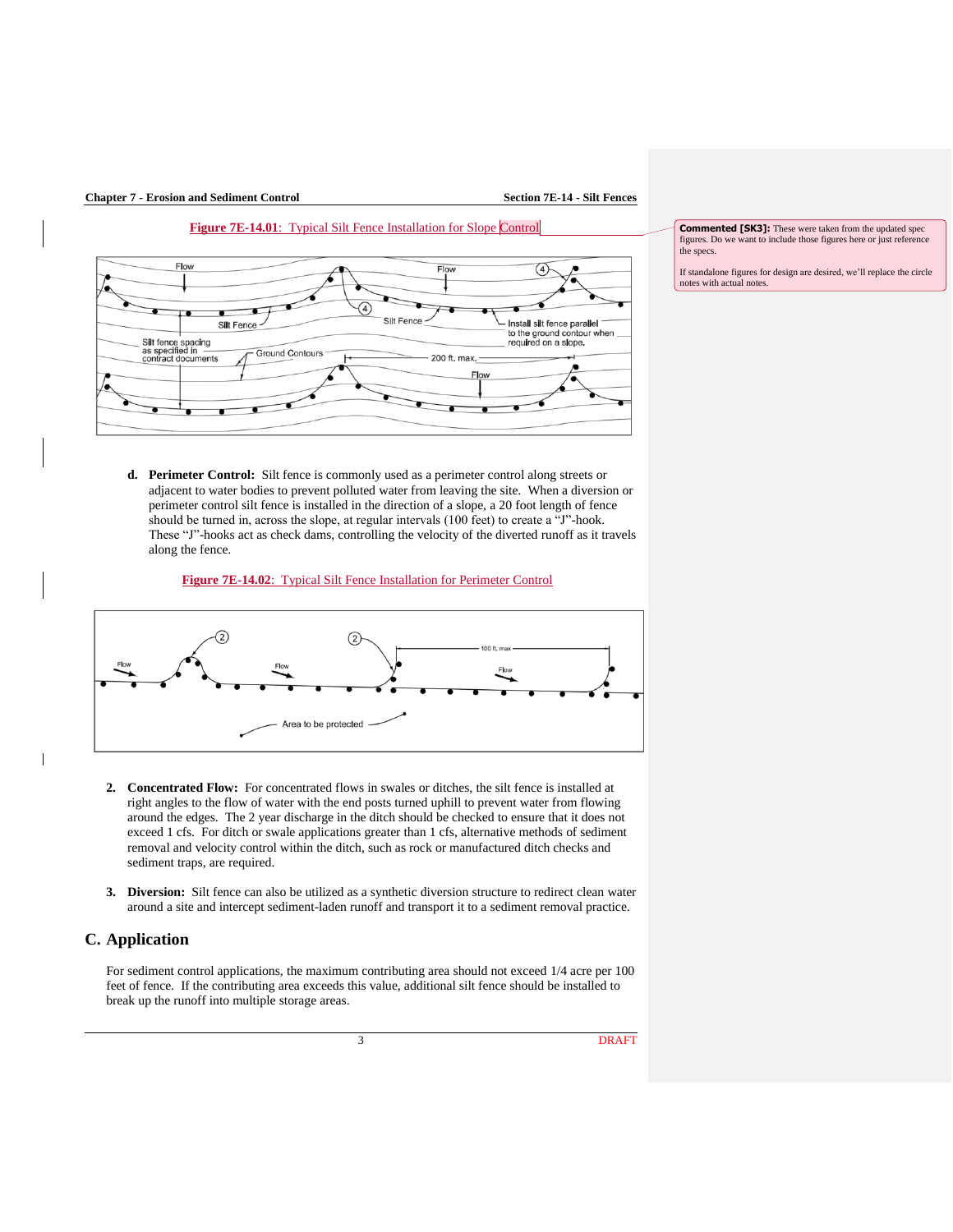





**Commented [SK3]:** These were taken from the updated spec figures. Do we want to include those figures here or just reference the specs.

If standalone figures for design are desired, we'll replace the circle notes with actual notes.

**d. Perimeter Control:** Silt fence is commonly used as a perimeter control along streets or adjacent to water bodies to prevent polluted water from leaving the site. When a diversion or perimeter control silt fence is installed in the direction of a slope, a 20 foot length of fence should be turned in, across the slope, at regular intervals (100 feet) to create a "J"-hook. These "J"-hooks act as check dams, controlling the velocity of the diverted runoff as it travels along the fence.

#### **Figure 7E-14.02**: Typical Silt Fence Installation for Perimeter Control



- **2. Concentrated Flow:** For concentrated flows in swales or ditches, the silt fence is installed at right angles to the flow of water with the end posts turned uphill to prevent water from flowing around the edges. The 2 year discharge in the ditch should be checked to ensure that it does not exceed 1 cfs. For ditch or swale applications greater than 1 cfs, alternative methods of sediment removal and velocity control within the ditch, such as rock or manufactured ditch checks and sediment traps, are required.
- **3. Diversion:** Silt fence can also be utilized as a synthetic diversion structure to redirect clean water around a site and intercept sediment-laden runoff and transport it to a sediment removal practice.

## **C. Application**

 $\mathsf{l}$ 

For sediment control applications, the maximum contributing area should not exceed 1/4 acre per 100 feet of fence. If the contributing area exceeds this value, additional silt fence should be installed to break up the runoff into multiple storage areas.